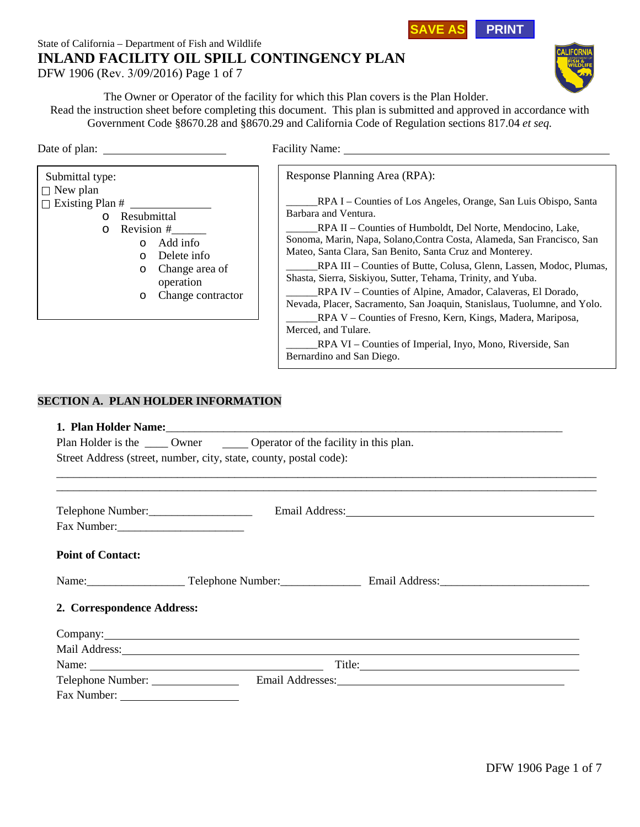## **SAVE AS PRINT**

# State of California – Department of Fish and Wildlife **INLAND FACILITY OIL SPILL CONTINGENCY PLAN**

DFW 1906 (Rev. 3/09/2016) Page 1 of 7



The Owner or Operator of the facility for which this Plan covers is the Plan Holder. Read the instruction sheet before completing this document. This plan is submitted and approved in accordance with Government Code §8670.28 and §8670.29 and California Code of Regulation sections 817.04 *et seq.*

Response Planning Area (RPA):



Date of plan: Facility Name: Facility Name:

\_\_\_\_\_\_RPA I – Counties of Los Angeles, Orange, San Luis Obispo, Santa Barbara and Ventura. RPA II – Counties of Humboldt, Del Norte, Mendocino, Lake,

Sonoma, Marin, Napa, Solano,Contra Costa, Alameda, San Francisco, San Mateo, Santa Clara, San Benito, Santa Cruz and Monterey.

\_\_\_\_\_\_RPA III – Counties of Butte, Colusa, Glenn, Lassen, Modoc, Plumas, Shasta, Sierra, Siskiyou, Sutter, Tehama, Trinity, and Yuba.

\_\_\_\_\_\_RPA IV – Counties of Alpine, Amador, Calaveras, El Dorado, Nevada, Placer, Sacramento, San Joaquin, Stanislaus, Tuolumne, and Yolo.

\_\_\_\_\_\_RPA V – Counties of Fresno, Kern, Kings, Madera, Mariposa, Merced, and Tulare.

\_RPA VI – Counties of Imperial, Inyo, Mono, Riverside, San Bernardino and San Diego.

## **SECTION A. PLAN HOLDER INFORMATION**

### **1. Plan Holder Name:**

| Plan Holder is the | Owner | Operator of the facility in this plan.                             |
|--------------------|-------|--------------------------------------------------------------------|
|                    |       | Street Address (street, number, city, state, county, postal code): |

| Telephone Number:          | Email Address: No. 1996. The Communication of the Communication of the Communication of the Communication of the Communication of the Communication of the Communication of the Communication of the Communication of the Comm |  |
|----------------------------|--------------------------------------------------------------------------------------------------------------------------------------------------------------------------------------------------------------------------------|--|
| Fax Number:                |                                                                                                                                                                                                                                |  |
| <b>Point of Contact:</b>   |                                                                                                                                                                                                                                |  |
|                            | Name: Telephone Number: Email Address:                                                                                                                                                                                         |  |
| 2. Correspondence Address: |                                                                                                                                                                                                                                |  |
|                            |                                                                                                                                                                                                                                |  |
|                            | Mail Address: National Address: National Address: National Address: National Address: National Address: National Address: National Address: National Address: National Address: National Address: National Address: National A |  |
|                            |                                                                                                                                                                                                                                |  |
| Telephone Number:          |                                                                                                                                                                                                                                |  |
|                            |                                                                                                                                                                                                                                |  |

\_\_\_\_\_\_\_\_\_\_\_\_\_\_\_\_\_\_\_\_\_\_\_\_\_\_\_\_\_\_\_\_\_\_\_\_\_\_\_\_\_\_\_\_\_\_\_\_\_\_\_\_\_\_\_\_\_\_\_\_\_\_\_\_\_\_\_\_\_\_\_\_\_\_\_\_\_\_\_\_\_\_\_\_\_\_\_\_\_\_\_\_\_\_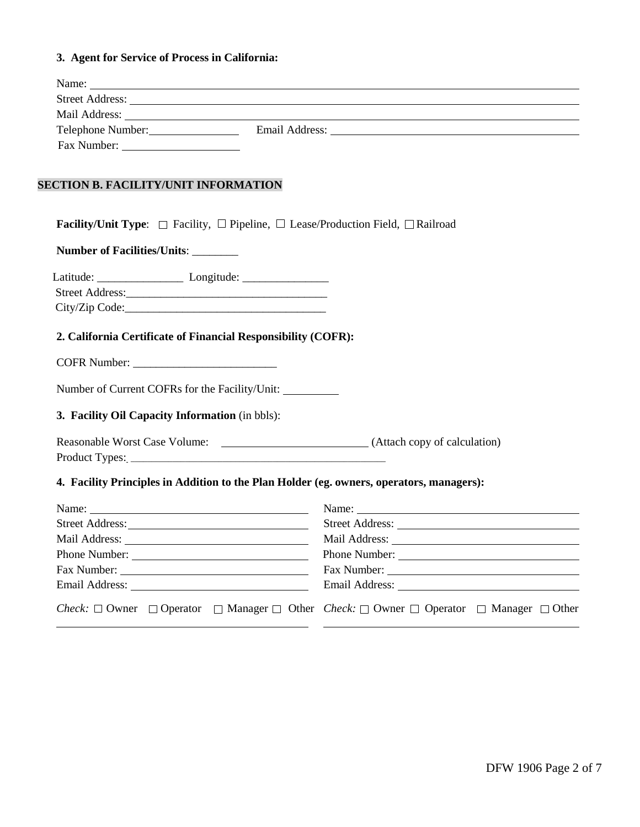## **3. Agent for Service of Process in California:**

| Name:                                                                                                                                                                                                                         | <u> 1989 - Johann Stoff, deutscher Stoffen und der Stoffen und der Stoffen und der Stoffen und der Stoffen und de</u> |
|-------------------------------------------------------------------------------------------------------------------------------------------------------------------------------------------------------------------------------|-----------------------------------------------------------------------------------------------------------------------|
|                                                                                                                                                                                                                               |                                                                                                                       |
|                                                                                                                                                                                                                               |                                                                                                                       |
| Telephone Number: Email Address: Campaigneer Contains and Address and Address and Address and Address and Address and Address and Address and Address and Address and Address and Address and Address and Address and Address |                                                                                                                       |
|                                                                                                                                                                                                                               |                                                                                                                       |
| <b>SECTION B. FACILITY/UNIT INFORMATION</b>                                                                                                                                                                                   |                                                                                                                       |
| <b>Facility/Unit Type:</b> $\Box$ Facility, $\Box$ Pipeline, $\Box$ Lease/Production Field, $\Box$ Railroad                                                                                                                   |                                                                                                                       |
| Number of Facilities/Units: ________                                                                                                                                                                                          |                                                                                                                       |
|                                                                                                                                                                                                                               |                                                                                                                       |
|                                                                                                                                                                                                                               |                                                                                                                       |
|                                                                                                                                                                                                                               |                                                                                                                       |
| 2. California Certificate of Financial Responsibility (COFR):                                                                                                                                                                 |                                                                                                                       |
|                                                                                                                                                                                                                               |                                                                                                                       |
| Number of Current COFRs for the Facility/Unit:                                                                                                                                                                                |                                                                                                                       |
| 3. Facility Oil Capacity Information (in bbls):                                                                                                                                                                               |                                                                                                                       |
|                                                                                                                                                                                                                               |                                                                                                                       |
|                                                                                                                                                                                                                               |                                                                                                                       |
| 4. Facility Principles in Addition to the Plan Holder (eg. owners, operators, managers):                                                                                                                                      |                                                                                                                       |
|                                                                                                                                                                                                                               |                                                                                                                       |
|                                                                                                                                                                                                                               |                                                                                                                       |
|                                                                                                                                                                                                                               |                                                                                                                       |
| Phone Number:                                                                                                                                                                                                                 | Phone Number:                                                                                                         |
|                                                                                                                                                                                                                               |                                                                                                                       |
|                                                                                                                                                                                                                               |                                                                                                                       |
| <i>Check</i> : $\Box$ Owner $\Box$ Operator $\Box$ Manager $\Box$ Other <i>Check</i> : $\Box$ Owner $\Box$ Operator $\Box$ Manager $\Box$ Other                                                                               |                                                                                                                       |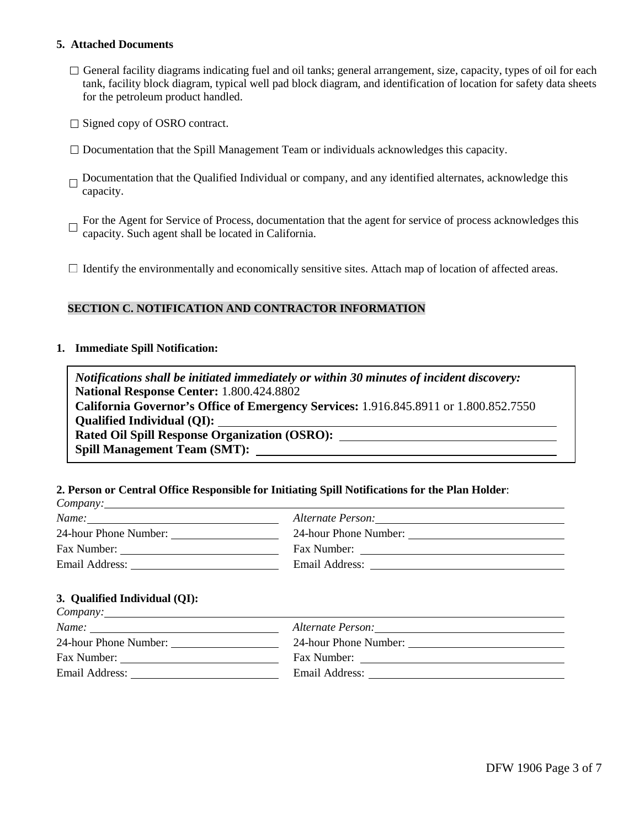### **5. Attached Documents**

- $\Box$  General facility diagrams indicating fuel and oil tanks; general arrangement, size, capacity, types of oil for each tank, facility block diagram, typical well pad block diagram, and identification of location for safety data sheets for the petroleum product handled.
- $\Box$  Signed copy of OSRO contract.
- $\Box$  Documentation that the Spill Management Team or individuals acknowledges this capacity.
- $\Box$  Documentation that the Qualified Individual or company, and any identified alternates, acknowledge this capacity.
- For the Agent for Service of Process, documentation that the agent for service of process acknowledges this capacity. Such agent shall be located in California.
- $\Box$  Identify the environmentally and economically sensitive sites. Attach map of location of affected areas.

### **SECTION C. NOTIFICATION AND CONTRACTOR INFORMATION**

### **1. Immediate Spill Notification:**

*Notifications shall be initiated immediately or within 30 minutes of incident discovery:* **National Response Center:** 1.800.424.8802 **California Governor's Office of Emergency Services:** 1.916.845.8911 or 1.800.852.7550 **Qualified Individual (QI): Rated Oil Spill Response Organization (OSRO): Spill Management Team (SMT):**

### **2. Person or Central Office Responsible for Initiating Spill Notifications for the Plan Holder**:

| $\mathcal{L}_{\text{unpair}}$ , |                          |  |
|---------------------------------|--------------------------|--|
| Name:                           | <i>Alternate Person:</i> |  |
| 24-hour Phone Number:           | 24-hour Phone Number:    |  |
| Fax Number:                     | Fax Number:              |  |
| Email Address:                  | Email Address:           |  |
|                                 |                          |  |

### **3. Qualified Individual (QI):**

*Company:*

| Name:                 | Alternate Person:     |
|-----------------------|-----------------------|
| 24-hour Phone Number: | 24-hour Phone Number: |
| Fax Number:           | Fax Number:           |
| Email Address:        | Email Address:        |
|                       |                       |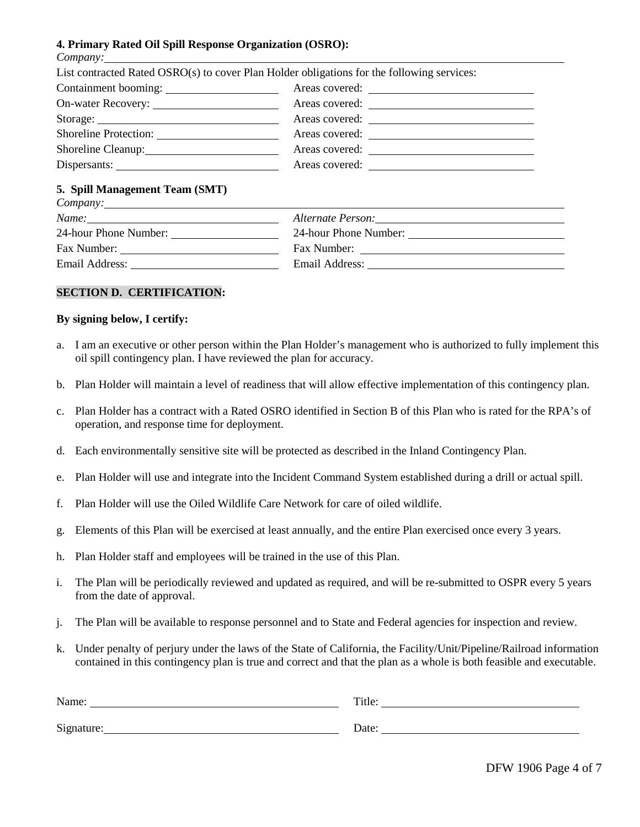### **4. Primary Rated Oil Spill Response Organization (OSRO):**

|                                | List contracted Rated OSRO(s) to cover Plan Holder obligations for the following services: |  |
|--------------------------------|--------------------------------------------------------------------------------------------|--|
| Containment booming:           |                                                                                            |  |
|                                |                                                                                            |  |
|                                |                                                                                            |  |
|                                |                                                                                            |  |
| Shoreline Cleanup:             | Areas covered:                                                                             |  |
| Dispersants:                   |                                                                                            |  |
| 5. Spill Management Team (SMT) |                                                                                            |  |
| Name:                          |                                                                                            |  |
| 24-hour Phone Number:          |                                                                                            |  |
|                                |                                                                                            |  |
| Email Address:                 | Email Address:                                                                             |  |

#### **SECTION D. CERTIFICATION:**

#### **By signing below, I certify:**

- a. I am an executive or other person within the Plan Holder's management who is authorized to fully implement this oil spill contingency plan. I have reviewed the plan for accuracy.
- b. Plan Holder will maintain a level of readiness that will allow effective implementation of this contingency plan.
- c. Plan Holder has a contract with a Rated OSRO identified in Section B of this Plan who is rated for the RPA's of operation, and response time for deployment.
- d. Each environmentally sensitive site will be protected as described in the Inland Contingency Plan.
- e. Plan Holder will use and integrate into the Incident Command System established during a drill or actual spill.
- f. Plan Holder will use the Oiled Wildlife Care Network for care of oiled wildlife.
- g. Elements of this Plan will be exercised at least annually, and the entire Plan exercised once every 3 years.
- h. Plan Holder staff and employees will be trained in the use of this Plan.
- i. The Plan will be periodically reviewed and updated as required, and will be re-submitted to OSPR every 5 years from the date of approval.
- j. The Plan will be available to response personnel and to State and Federal agencies for inspection and review.
- k. Under penalty of perjury under the laws of the State of California, the Facility/Unit/Pipeline/Railroad information contained in this contingency plan is true and correct and that the plan as a whole is both feasible and executable.

| Name:      | Title. |
|------------|--------|
| Signature: | Date   |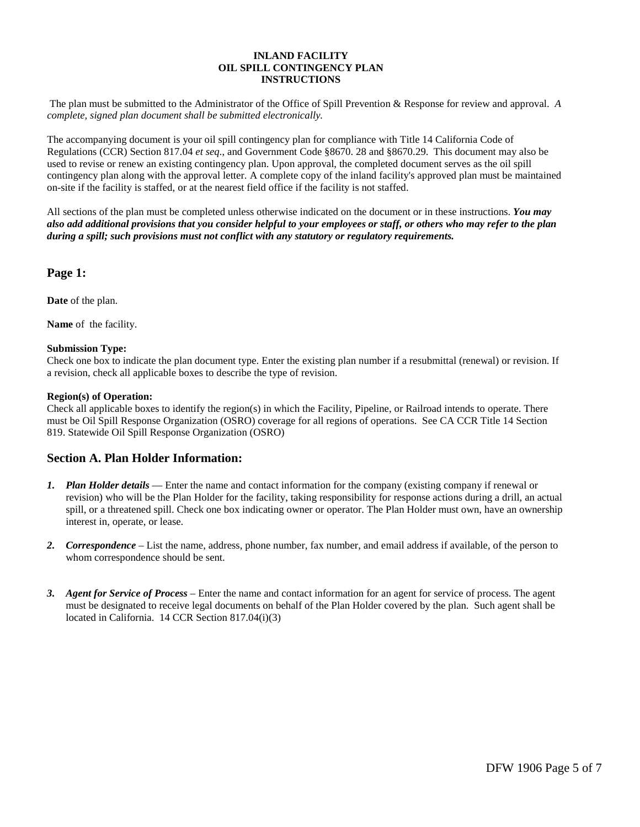#### **INLAND FACILITY OIL SPILL CONTINGENCY PLAN INSTRUCTIONS**

The plan must be submitted to the Administrator of the Office of Spill Prevention & Response for review and approval. *A complete, signed plan document shall be submitted electronically.*

The accompanying document is your oil spill contingency plan for compliance with Title 14 California Code of Regulations (CCR) Section 817.04 *et seq.*, and Government Code §8670. 28 and §8670.29. This document may also be used to revise or renew an existing contingency plan. Upon approval, the completed document serves as the oil spill contingency plan along with the approval letter. A complete copy of the inland facility's approved plan must be maintained on-site if the facility is staffed, or at the nearest field office if the facility is not staffed.

All sections of the plan must be completed unless otherwise indicated on the document or in these instructions. *You may also add additional provisions that you consider helpful to your employees or staff, or others who may refer to the plan during a spill; such provisions must not conflict with any statutory or regulatory requirements.*

### **Page 1:**

**Date** of the plan.

**Name** of the facility.

#### **Submission Type:**

Check one box to indicate the plan document type. Enter the existing plan number if a resubmittal (renewal) or revision. If a revision, check all applicable boxes to describe the type of revision.

#### **Region(s) of Operation:**

Check all applicable boxes to identify the region(s) in which the Facility, Pipeline, or Railroad intends to operate. There must be Oil Spill Response Organization (OSRO) coverage for all regions of operations. See CA CCR Title 14 Section 819. Statewide Oil Spill Response Organization (OSRO)

### **Section A. Plan Holder Information:**

- *1. Plan Holder details* Enter the name and contact information for the company (existing company if renewal or revision) who will be the Plan Holder for the facility, taking responsibility for response actions during a drill, an actual spill, or a threatened spill. Check one box indicating owner or operator. The Plan Holder must own, have an ownership interest in, operate, or lease.
- *2. Correspondence*  List the name, address, phone number, fax number, and email address if available, of the person to whom correspondence should be sent.
- *3. Agent for Service of Process* Enter the name and contact information for an agent for service of process. The agent must be designated to receive legal documents on behalf of the Plan Holder covered by the plan. Such agent shall be located in California. 14 CCR Section 817.04(i)(3)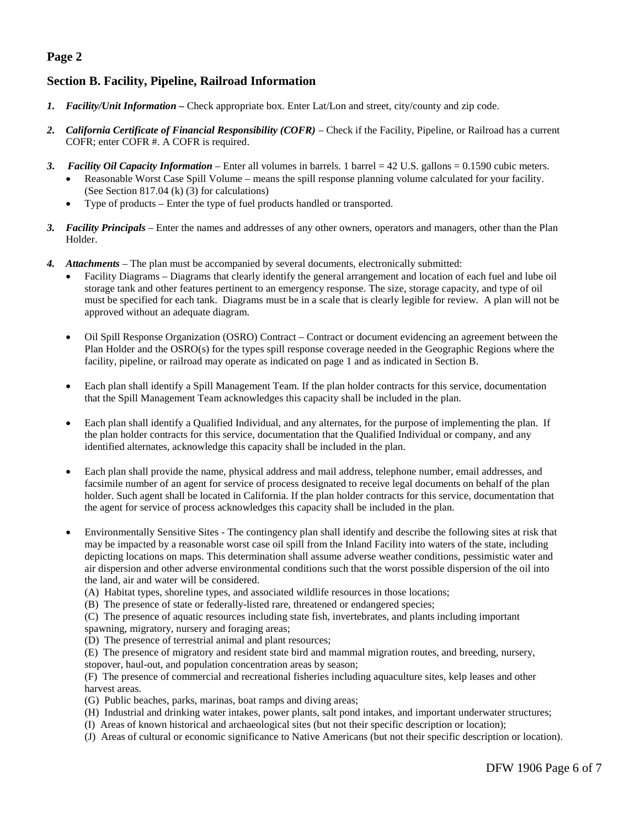## **Page 2**

## **Section B. Facility, Pipeline, Railroad Information**

- *1. Facility/Unit Information* Check appropriate box. Enter Lat/Lon and street, city/county and zip code.
- *2. California Certificate of Financial Responsibility (COFR)* Check if the Facility, Pipeline, or Railroad has a current COFR; enter COFR #. A COFR is required.
- *3. Facility Oil Capacity Information* Enter all volumes in barrels. 1 barrel = 42 U.S. gallons = 0.1590 cubic meters.
	- Reasonable Worst Case Spill Volume means the spill response planning volume calculated for your facility. (See Section 817.04 (k) (3) for calculations)
	- Type of products Enter the type of fuel products handled or transported.
- *3. Facility Principals* Enter the names and addresses of any other owners, operators and managers, other than the Plan Holder.
- *4. Attachments* The plan must be accompanied by several documents, electronically submitted:
	- Facility Diagrams Diagrams that clearly identify the general arrangement and location of each fuel and lube oil storage tank and other features pertinent to an emergency response. The size, storage capacity, and type of oil must be specified for each tank. Diagrams must be in a scale that is clearly legible for review. A plan will not be approved without an adequate diagram.
	- Oil Spill Response Organization (OSRO) Contract Contract or document evidencing an agreement between the Plan Holder and the OSRO(s) for the types spill response coverage needed in the Geographic Regions where the facility, pipeline, or railroad may operate as indicated on page 1 and as indicated in Section B.
	- Each plan shall identify a Spill Management Team. If the plan holder contracts for this service, documentation that the Spill Management Team acknowledges this capacity shall be included in the plan.
	- Each plan shall identify a Qualified Individual, and any alternates, for the purpose of implementing the plan. If the plan holder contracts for this service, documentation that the Qualified Individual or company, and any identified alternates, acknowledge this capacity shall be included in the plan.
	- Each plan shall provide the name, physical address and mail address, telephone number, email addresses, and facsimile number of an agent for service of process designated to receive legal documents on behalf of the plan holder. Such agent shall be located in California. If the plan holder contracts for this service, documentation that the agent for service of process acknowledges this capacity shall be included in the plan.
	- Environmentally Sensitive Sites The contingency plan shall identify and describe the following sites at risk that may be impacted by a reasonable worst case oil spill from the Inland Facility into waters of the state, including depicting locations on maps. This determination shall assume adverse weather conditions, pessimistic water and air dispersion and other adverse environmental conditions such that the worst possible dispersion of the oil into the land, air and water will be considered.
		- (A) Habitat types, shoreline types, and associated wildlife resources in those locations;
		- (B) The presence of state or federally-listed rare, threatened or endangered species;
		- (C) The presence of aquatic resources including state fish, invertebrates, and plants including important spawning, migratory, nursery and foraging areas;
		- (D) The presence of terrestrial animal and plant resources;
		- (E) The presence of migratory and resident state bird and mammal migration routes, and breeding, nursery, stopover, haul-out, and population concentration areas by season;

(F) The presence of commercial and recreational fisheries including aquaculture sites, kelp leases and other harvest areas.

- (G) Public beaches, parks, marinas, boat ramps and diving areas;
- (H) Industrial and drinking water intakes, power plants, salt pond intakes, and important underwater structures;
- (I) Areas of known historical and archaeological sites (but not their specific description or location);
- (J) Areas of cultural or economic significance to Native Americans (but not their specific description or location).